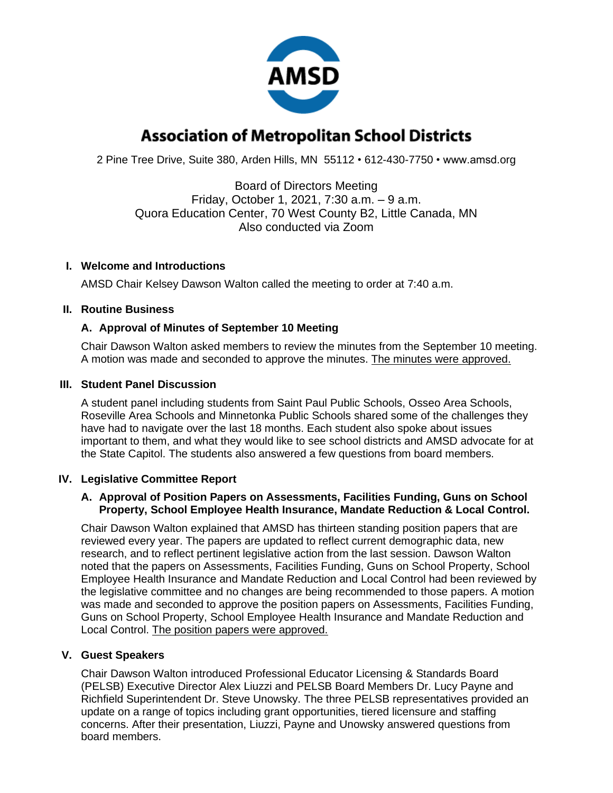

# **Association of Metropolitan School Districts**

2 Pine Tree Drive, Suite 380, Arden Hills, MN 55112 • 612-430-7750 • www.amsd.org

Board of Directors Meeting Friday, October 1, 2021, 7:30 a.m. – 9 a.m. Quora Education Center, 70 West County B2, Little Canada, MN Also conducted via Zoom

# **I. Welcome and Introductions**

AMSD Chair Kelsey Dawson Walton called the meeting to order at 7:40 a.m.

# **II. Routine Business**

# **A. Approval of Minutes of September 10 Meeting**

Chair Dawson Walton asked members to review the minutes from the September 10 meeting. A motion was made and seconded to approve the minutes. The minutes were approved.

#### **III. Student Panel Discussion**

A student panel including students from Saint Paul Public Schools, Osseo Area Schools, Roseville Area Schools and Minnetonka Public Schools shared some of the challenges they have had to navigate over the last 18 months. Each student also spoke about issues important to them, and what they would like to see school districts and AMSD advocate for at the State Capitol. The students also answered a few questions from board members.

#### **IV. Legislative Committee Report**

#### **A. Approval of Position Papers on Assessments, Facilities Funding, Guns on School Property, School Employee Health Insurance, Mandate Reduction & Local Control.**

Chair Dawson Walton explained that AMSD has thirteen standing position papers that are reviewed every year. The papers are updated to reflect current demographic data, new research, and to reflect pertinent legislative action from the last session. Dawson Walton noted that the papers on Assessments, Facilities Funding, Guns on School Property, School Employee Health Insurance and Mandate Reduction and Local Control had been reviewed by the legislative committee and no changes are being recommended to those papers. A motion was made and seconded to approve the position papers on Assessments, Facilities Funding, Guns on School Property, School Employee Health Insurance and Mandate Reduction and Local Control. The position papers were approved.

# **V. Guest Speakers**

Chair Dawson Walton introduced Professional Educator Licensing & Standards Board (PELSB) Executive Director Alex Liuzzi and PELSB Board Members Dr. Lucy Payne and Richfield Superintendent Dr. Steve Unowsky. The three PELSB representatives provided an update on a range of topics including grant opportunities, tiered licensure and staffing concerns. After their presentation, Liuzzi, Payne and Unowsky answered questions from board members.